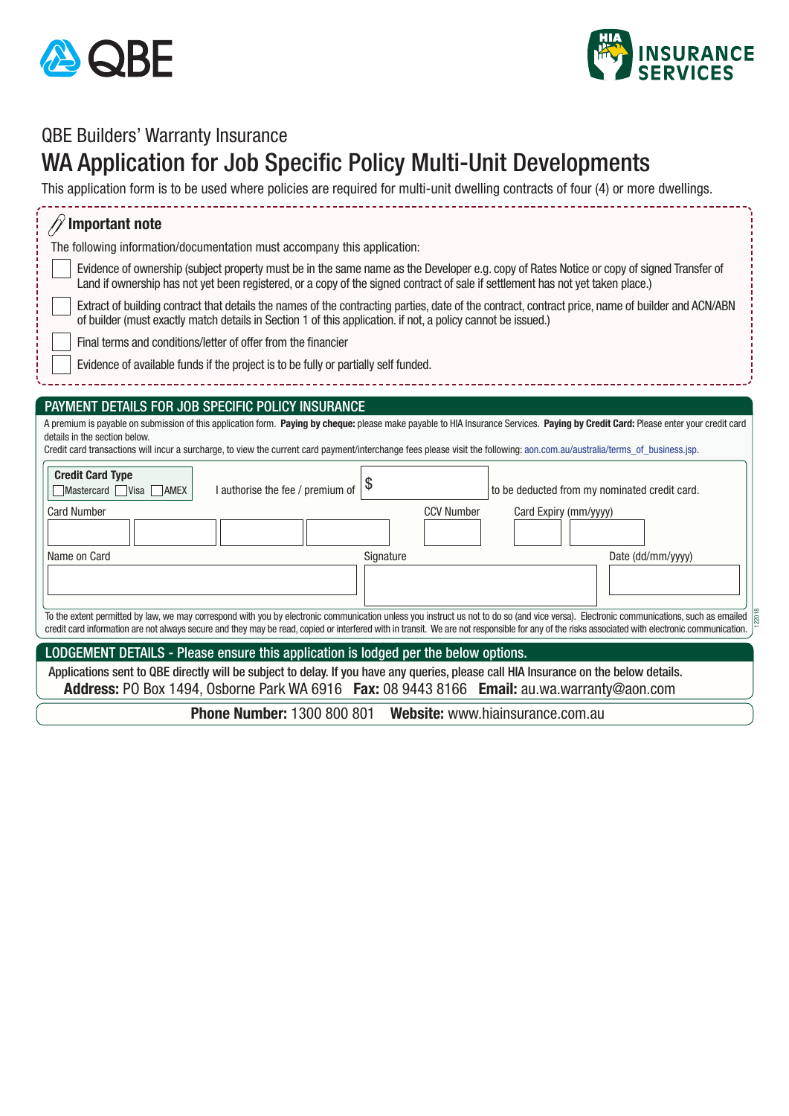



## QBE Builders' Warranty Insurance

## WA Application for Job Specific Policy Multi-Unit Developments

This application form is to be used where policies are required for multi-unit dwelling contracts of four (4) or more dwellings.

| <b>Important note</b>                                                                                                                                                                                                                                                                                                                                                                             |  |  |  |
|---------------------------------------------------------------------------------------------------------------------------------------------------------------------------------------------------------------------------------------------------------------------------------------------------------------------------------------------------------------------------------------------------|--|--|--|
| The following information/documentation must accompany this application:                                                                                                                                                                                                                                                                                                                          |  |  |  |
| Evidence of ownership (subject property must be in the same name as the Developer e.g. copy of Rates Notice or copy of signed Transfer of<br>Land if ownership has not yet been registered, or a copy of the signed contract of sale if settlement has not yet taken place.)                                                                                                                      |  |  |  |
| Extract of building contract that details the names of the contracting parties, date of the contract, contract price, name of builder and ACN/ABN<br>of builder (must exactly match details in Section 1 of this application. if not, a policy cannot be issued.)                                                                                                                                 |  |  |  |
| Final terms and conditions/letter of offer from the financier                                                                                                                                                                                                                                                                                                                                     |  |  |  |
| Evidence of available funds if the project is to be fully or partially self funded.                                                                                                                                                                                                                                                                                                               |  |  |  |
|                                                                                                                                                                                                                                                                                                                                                                                                   |  |  |  |
| PAYMENT DETAILS FOR JOB SPECIFIC POLICY INSURANCE                                                                                                                                                                                                                                                                                                                                                 |  |  |  |
| A premium is payable on submission of this application form. Paying by cheque: please make payable to HIA Insurance Services. Paying by Credit Card: Please enter your credit card<br>details in the section below.<br>Credit card transactions will incur a surcharge, to view the current card payment/interchange fees please visit the following: aon.com.au/australia/terms_of_business.jsp. |  |  |  |
| <b>Credit Card Type</b><br>\$<br>I authorise the fee / premium of<br>to be deducted from my nominated credit card.<br>$M$ astercard $N$ isa $M$ AMEX                                                                                                                                                                                                                                              |  |  |  |
| <b>CCV Number</b><br><b>Card Number</b><br>Card Expiry (mm/yyyy)                                                                                                                                                                                                                                                                                                                                  |  |  |  |
| Name on Card<br>Signature<br>Date (dd/mm/yyyy)                                                                                                                                                                                                                                                                                                                                                    |  |  |  |
|                                                                                                                                                                                                                                                                                                                                                                                                   |  |  |  |
| To the extent permitted by law, we may correspond with you by electronic communication unless you instruct us not to do so (and vice versa). Electronic communications, such as emailed<br>credit card information are not always secure and they may be read, copied or interfered with in transit. We are not responsible for any of the risks associated with electronic communication.        |  |  |  |
| LODGEMENT DETAILS - Please ensure this application is lodged per the below options.                                                                                                                                                                                                                                                                                                               |  |  |  |
| Applications sent to QBE directly will be subject to delay. If you have any queries, please call HIA Insurance on the below details.<br>Address: PO Box 1494, Osborne Park WA 6916 Fax: 08 9443 8166 Email: au.wa.warranty@aon.com                                                                                                                                                                |  |  |  |
| <b>Phone Number: 1300 800 801</b><br>Website: www.hiainsurance.com.au                                                                                                                                                                                                                                                                                                                             |  |  |  |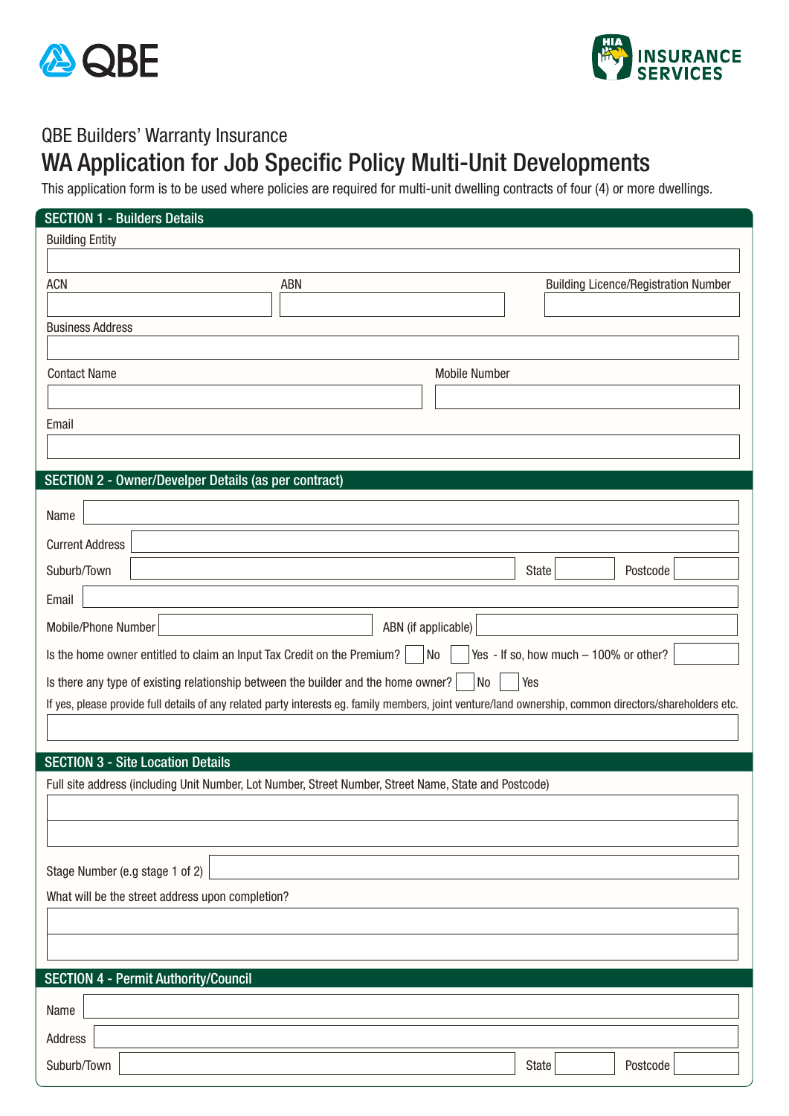



## QBE Builders' Warranty Insurance

## WA Application for Job Specific Policy Multi-Unit Developments

This application form is to be used where policies are required for multi-unit dwelling contracts of four (4) or more dwellings.

| <b>SECTION 1 - Builders Details</b>                                                                   |                                                                                                                                                         |                                             |  |  |  |  |
|-------------------------------------------------------------------------------------------------------|---------------------------------------------------------------------------------------------------------------------------------------------------------|---------------------------------------------|--|--|--|--|
| <b>Building Entity</b>                                                                                |                                                                                                                                                         |                                             |  |  |  |  |
|                                                                                                       |                                                                                                                                                         |                                             |  |  |  |  |
| <b>ACN</b>                                                                                            | ABN                                                                                                                                                     | <b>Building Licence/Registration Number</b> |  |  |  |  |
|                                                                                                       |                                                                                                                                                         |                                             |  |  |  |  |
| <b>Business Address</b>                                                                               |                                                                                                                                                         |                                             |  |  |  |  |
|                                                                                                       |                                                                                                                                                         |                                             |  |  |  |  |
| <b>Contact Name</b>                                                                                   | <b>Mobile Number</b>                                                                                                                                    |                                             |  |  |  |  |
|                                                                                                       |                                                                                                                                                         |                                             |  |  |  |  |
| Email                                                                                                 |                                                                                                                                                         |                                             |  |  |  |  |
|                                                                                                       |                                                                                                                                                         |                                             |  |  |  |  |
| SECTION 2 - Owner/Develper Details (as per contract)                                                  |                                                                                                                                                         |                                             |  |  |  |  |
|                                                                                                       |                                                                                                                                                         |                                             |  |  |  |  |
| Name                                                                                                  |                                                                                                                                                         |                                             |  |  |  |  |
| <b>Current Address</b>                                                                                |                                                                                                                                                         |                                             |  |  |  |  |
| Suburb/Town                                                                                           |                                                                                                                                                         | State<br>Postcode                           |  |  |  |  |
| Email                                                                                                 |                                                                                                                                                         |                                             |  |  |  |  |
| Mobile/Phone Number                                                                                   | ABN (if applicable)                                                                                                                                     |                                             |  |  |  |  |
|                                                                                                       |                                                                                                                                                         |                                             |  |  |  |  |
| Is the home owner entitled to claim an Input Tax Credit on the Premium?                               | No                                                                                                                                                      | Yes - If so, how much - 100% or other?      |  |  |  |  |
| Is there any type of existing relationship between the builder and the home owner?                    | No                                                                                                                                                      | Yes                                         |  |  |  |  |
|                                                                                                       | If yes, please provide full details of any related party interests eg. family members, joint venture/land ownership, common directors/shareholders etc. |                                             |  |  |  |  |
|                                                                                                       |                                                                                                                                                         |                                             |  |  |  |  |
| <b>SECTION 3 - Site Location Details</b>                                                              |                                                                                                                                                         |                                             |  |  |  |  |
| Full site address (including Unit Number, Lot Number, Street Number, Street Name, State and Postcode) |                                                                                                                                                         |                                             |  |  |  |  |
|                                                                                                       |                                                                                                                                                         |                                             |  |  |  |  |
|                                                                                                       |                                                                                                                                                         |                                             |  |  |  |  |
|                                                                                                       |                                                                                                                                                         |                                             |  |  |  |  |
| Stage Number (e.g stage 1 of 2)                                                                       |                                                                                                                                                         |                                             |  |  |  |  |
| What will be the street address upon completion?                                                      |                                                                                                                                                         |                                             |  |  |  |  |
|                                                                                                       |                                                                                                                                                         |                                             |  |  |  |  |
|                                                                                                       |                                                                                                                                                         |                                             |  |  |  |  |
| <b>SECTION 4 - Permit Authority/Council</b>                                                           |                                                                                                                                                         |                                             |  |  |  |  |
|                                                                                                       |                                                                                                                                                         |                                             |  |  |  |  |
| Name                                                                                                  |                                                                                                                                                         |                                             |  |  |  |  |
| Address                                                                                               |                                                                                                                                                         |                                             |  |  |  |  |
| Suburb/Town                                                                                           |                                                                                                                                                         | State<br>Postcode                           |  |  |  |  |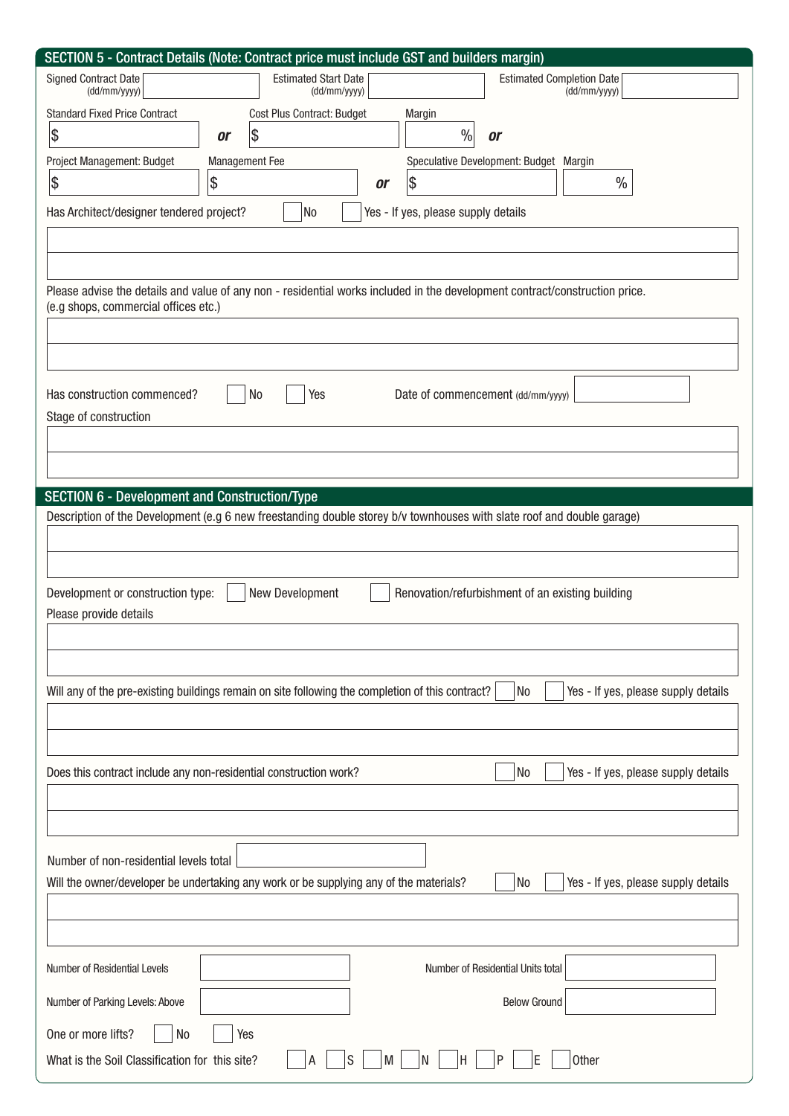| SECTION 5 - Contract Details (Note: Contract price must include GST and builders margin)                                                                            |                 |                                             |                                     |                                                                                                                        |  |
|---------------------------------------------------------------------------------------------------------------------------------------------------------------------|-----------------|---------------------------------------------|-------------------------------------|------------------------------------------------------------------------------------------------------------------------|--|
| <b>Signed Contract Date</b><br>(dd/mm/yyyy)                                                                                                                         |                 | <b>Estimated Start Date</b><br>(dd/mm/yyyy) |                                     | <b>Estimated Completion Date</b><br>(dd/mm/yyyy)                                                                       |  |
| <b>Standard Fixed Price Contract</b>                                                                                                                                |                 | Cost Plus Contract: Budget                  | Margin                              |                                                                                                                        |  |
| \$                                                                                                                                                                  | \$<br><b>or</b> |                                             | $\frac{0}{0}$                       | <b>or</b>                                                                                                              |  |
| Project Management: Budget                                                                                                                                          | Management Fee  |                                             |                                     | Speculative Development: Budget Margin                                                                                 |  |
| \$                                                                                                                                                                  | \$              | <b>or</b>                                   | Ι\$                                 | $\%$                                                                                                                   |  |
| Has Architect/designer tendered project?                                                                                                                            |                 | No                                          | Yes - If yes, please supply details |                                                                                                                        |  |
|                                                                                                                                                                     |                 |                                             |                                     |                                                                                                                        |  |
|                                                                                                                                                                     |                 |                                             |                                     |                                                                                                                        |  |
| Please advise the details and value of any non - residential works included in the development contract/construction price.<br>(e.g shops, commercial offices etc.) |                 |                                             |                                     |                                                                                                                        |  |
|                                                                                                                                                                     |                 |                                             |                                     |                                                                                                                        |  |
|                                                                                                                                                                     |                 |                                             |                                     |                                                                                                                        |  |
| N <sub>0</sub><br>Has construction commenced?<br>Yes<br>Date of commencement (dd/mm/yyyy)<br>Stage of construction                                                  |                 |                                             |                                     |                                                                                                                        |  |
|                                                                                                                                                                     |                 |                                             |                                     |                                                                                                                        |  |
|                                                                                                                                                                     |                 |                                             |                                     |                                                                                                                        |  |
| <b>SECTION 6 - Development and Construction/Type</b>                                                                                                                |                 |                                             |                                     |                                                                                                                        |  |
|                                                                                                                                                                     |                 |                                             |                                     | Description of the Development (e.g 6 new freestanding double storey b/v townhouses with slate roof and double garage) |  |
|                                                                                                                                                                     |                 |                                             |                                     |                                                                                                                        |  |
|                                                                                                                                                                     |                 |                                             |                                     |                                                                                                                        |  |
| Development or construction type:                                                                                                                                   | New Development |                                             |                                     | Renovation/refurbishment of an existing building                                                                       |  |
| Please provide details                                                                                                                                              |                 |                                             |                                     |                                                                                                                        |  |
|                                                                                                                                                                     |                 |                                             |                                     |                                                                                                                        |  |
|                                                                                                                                                                     |                 |                                             |                                     |                                                                                                                        |  |
| Will any of the pre-existing buildings remain on site following the completion of this contract?<br>Yes - If yes, please supply details<br>No                       |                 |                                             |                                     |                                                                                                                        |  |
|                                                                                                                                                                     |                 |                                             |                                     |                                                                                                                        |  |
|                                                                                                                                                                     |                 |                                             |                                     |                                                                                                                        |  |
| Does this contract include any non-residential construction work?                                                                                                   |                 |                                             |                                     | Yes - If yes, please supply details<br>No                                                                              |  |
|                                                                                                                                                                     |                 |                                             |                                     |                                                                                                                        |  |
|                                                                                                                                                                     |                 |                                             |                                     |                                                                                                                        |  |
| Number of non-residential levels total                                                                                                                              |                 |                                             |                                     |                                                                                                                        |  |
| Yes - If yes, please supply details<br>Will the owner/developer be undertaking any work or be supplying any of the materials?<br>No                                 |                 |                                             |                                     |                                                                                                                        |  |
|                                                                                                                                                                     |                 |                                             |                                     |                                                                                                                        |  |
|                                                                                                                                                                     |                 |                                             |                                     |                                                                                                                        |  |
| Number of Residential Levels                                                                                                                                        |                 |                                             |                                     | Number of Residential Units total                                                                                      |  |
| Number of Parking Levels: Above                                                                                                                                     |                 |                                             |                                     | <b>Below Ground</b>                                                                                                    |  |
| One or more lifts?<br>N <sub>0</sub><br>Yes                                                                                                                         |                 |                                             |                                     |                                                                                                                        |  |
| What is the Soil Classification for this site?                                                                                                                      |                 | M                                           | ١N<br>н                             | F<br>Other                                                                                                             |  |
|                                                                                                                                                                     |                 |                                             |                                     |                                                                                                                        |  |